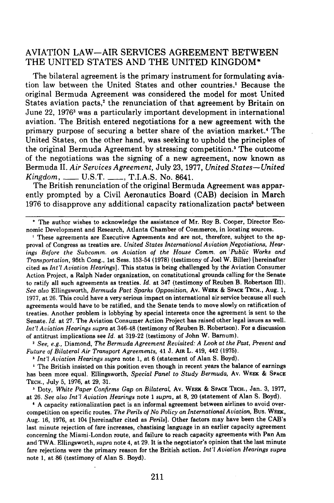## **AVIATION** LAW-AIR **SERVICES AGREEMENT BETWEEN** THE UNITED **STATES AND** THE UNITED **KINGDOM\***

The bilateral agreement is the primary instrument for formulating aviation law between the United States and other countries.' Because the original Bermuda Agreement was considered the model for most United States aviation pacts,<sup>2</sup> the renunciation of that agreement by Britain on June 22, 19763 was a particularly important development in international aviation. The British entered negotiations for a new agreement with the primary purpose of securing a better share of the aviation market., The United States, on the other hand, was seeking to uphold the principles of the original Bermuda Agreement by stressing competition.5 The outcome of the negotiations was the signing of a new agreement, now known as Bermuda II. *Air Services Agreement,* July 23, 1977, *United States-United Kingdom,* \_\_\_\_\_ U.S.T. \_\_\_\_, T.I.A.S. No. 8641.

The British renunciation of the original Bermuda Agreement was apparently prompted by a Civil Aeronautics Board (CAB) decision in March 1976 to disapprove any additional capacity rationalization pacts' between

**I** These agreements are Executive Agreements and are not, therefore, subject to the **ap**proval of Congress as treaties are. *United States International Aviation Negotiations, Hearings Before the Subcomm. on Aviation of the House Comm. on 'Public Works and Transportation,* 95th Cong., **1st** Sess. **153-54 (1978)** (testimony of Joel W. Biller) [hereinafter cited as *Int'l Aviation Hearings].* This status is being challenged **by** the' Aviation Consumer Action Project, a Ralph Nader organization, on constitutional grounds calling for the Senate to ratify all such agreements as treaties. *Id.* at 347 (testimony of Reuben B. Robertson I). *See also* Ellingsworth, *Bermuda Pact Sparks Opposition,* Av. **WEEK & SPACE TECH.,** Aug. **1, 1977,** at **26.** This could have a very serious impact on international air service because all such agreements would have to be ratified, and the Senate tends to move slowly on ratification of treaties. Another problem is lobbying **by** special interests once the agreement is sent to the Senate. *Id.* at **27.** The Aviation Consumer Action Project has raised other legal issues as well. *Int'l Aviation Hearings supra* at 346-48 (testimony of Reuben B. Robertson). For a discussion of antitrust implications see *Id.* at **319-22** (testimony of John W. Barnum).

*I See, e.g.,* Diamond, *The Bermuda Agreement Revisited: A Look at the Past, Present and Future of Bilateral Air Transport Agreements,* 41 **J.** AnI L. 419, 442 **(1975).**

*Int'l Aviation Hearings supra* note **1,** at **6** (statement of Alan **S.** Boyd).

The British insisted on this position even though in recent years the balance of earnings has been more equal. Ellingsworth, *Special Panel to Study Bermuda,* Av. WEEK **& SPACE TECH.,** July **5, 1976,** at **29, 31.**

**1** Doty, *White Paper Confirms Gap on Bilateral,* Av. WEEK **& SPACE TECH.,** Jan. **3, 1977,** at **26.** *See also Int'l Aviation Hearings* note **1** *supra,* at **8,** 20 (statement of Alan **S.** Boyd).

**I A** capacity rationalization pact is an informal agreement between airlines to avoid overcompetition on specific routes. *The Perils of No Policy on International Aviation,* Bus. **WEEK,** Aug. **16, 1976,** at 104 [hereinafter cited as *Perils].* Other factors may have been the CAB's last minute rejection of fare increases, chastising language in an earlier capacity agreement concerning the Miami-London route, and failure to reach capacity agreements with Pan Am and TWA. Ellingsworth, *supra* note 4, at **29.** It is the negotiator's opinion that the last minute fare rejections were the primary reason for the British action. *Int'l Aviation Hearings supra* note **1,** at **86** (testimony of Alan **S.** Boyd).

<sup>\*</sup> The author wishes to acknowledge the assistance of Mr. Roy B. Cooper, Director Economic Development and Research, Atlanta Chamber of Commerce, in locating sources.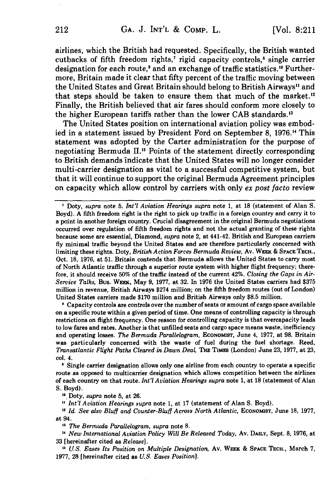airlines, which the British had requested. Specifically, the British wanted cutbacks of fifth freedom rights,<sup>7</sup> rigid capacity controls,<sup>8</sup> single carrier designation for each route,<sup>9</sup> and an exchange of traffic statistics.<sup>10</sup> Furthermore, Britain made it clear that **fifty** percent of the traffic moving between the United States and Great Britain should belong to British Airways" and that steps should be taken to ensure them that much of the market. Finally, the British believed that air fares should conform more closely to the higher European tariffs rather than the lower CAB standards.<sup>13</sup>

The United States position on international aviation policy was embodied in a statement issued **by** President Ford on September **8, 1976."** This statement was adopted **by** the Carter administration for the purpose of negotiating Bermuda II.<sup>15</sup> Points of the statement directly corresponding to British demands indicate that the United States will no longer consider multi-carrier designation as vital to a successful competitive system, but that it will continue to support the original Bermuda Agreement principles on capacity which allow control **by** carriers with only *ex post facto* review

**I** Capacity controls are controls over the number of seats or amount of cargo space available on a specific route within a given period of time. One means of controlling capacity is through restrictions on flight frequency. One reason for controlling capacity is that overcapacity leads to low fares and rates. Another is that unfilled seats and cargo space means waste, inefficiency and operating losses. *The Bermuda Parallelogram,* **EcONOMIST,** June 4, **1977,** at **98.** Britain was particularly concerned with the waste of fuel during the fuel shortage. Reed, *Transatlantic Flight Paths Cleared in Dawn Deal,* **THE** Tim (London) June **23, 1977,** at **23,** col. 4.

**1** Single carrier designation allows only one airline from each country to operate a specific route as opposed to multicarrier designation which allows competition between the airlines of each country on that route. *Int'l Aviation Hearings supra* note **1,** at **18** (statement of Alan **S.** Boyd).

**<sup>10</sup>**Doty, *supra* note **5,** at **26.**

*Int'l Aviation Hearings supra* note **1,** at **17** (statement of Alan **S.** Boyd).

<sup>12</sup> Id. See also Bluff and Counter-Bluff Across North Atlantic, ECONOMIST, June 18, 1977, **at** 94.

**13** *The Bermuda Parallelogram, supra* note **8.**

**'1** *New International Aviation Policy Will Be Released Today,* **Av. DAILY, Sept. 8, 1976, at 33** [hereinafter cited as *Release].*

*11 US. Eases Its Position on Multiple Designation,* Av. WEEK **& SPACE TECH.,** March **7, 1977, 28** [hereinafter cited as *U.S. Eases Position].*

**I** Doty, *supra* note **5.** *Int'l Aviation Hearings supra* note **1,** at **18** (statement of Alan **S.** Boyd). **A** fifth freedom right is the right to pick up traffic in a foreign country and carry it to a point in another foreign country. Crucial disagreement in the original Bermuda negotiations occurred over regulation of fifth freedom rights and not the actual granting of these rights because some are essential, Diamond, *supra* note 2, at 441-42. British and European carriers **fly** minimal traffic beyond the United States and are therefore particularly concerned with limiting these rights. Doty, *British Action Forces Bermuda Review,* Av. **WEEK** & **SPACE TECH.,** Oct. **18, 1976,** at **51.** Britain contends that Bermuda allows the United States to carry most of North Atlantic traffic through a superior route system with higher flight frequency; therefore, it should receive **50%** of the traffic instead of the current 42%. *Closing the Gaps in Air-Service Talks,* Bus. WEEK, May **9, 1977,** at **32.** In **1976** the United States carriers had **\$375** million in revenue, British Airways \$274 million; on the fifth freedom routes (out of London) United States carriers made **\$170** million and British Airways only **\$8.5** million.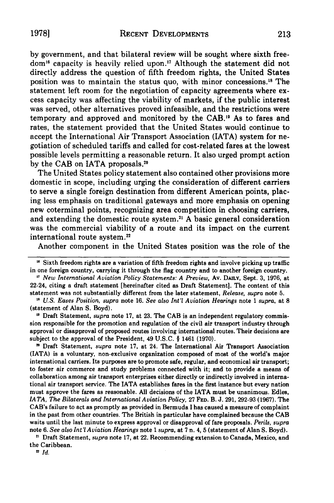by government, and that bilateral review will be sought where sixth freedom" capacity is heavily relied upon." Although the statement did not directly address the question of fifth freedom rights, the United States position was to maintain the status quo, with minor concessions.<sup>18</sup> The statement left room for the negotiation of capacity agreements where excess capacity was affecting the viability of markets, if the public interest was served, other alternatives proved infeasible, and the restrictions were temporary and approved and monitored by the CAB." As to fares and rates, the statement provided that the United States would continue to accept the International Air Transport Association (IATA) system for negotiation of scheduled tariffs and called for cost-related fares at the lowest possible levels permitting a reasonable return. It also urged prompt action by the CAB on IATA proposals.<sup>20</sup>

The United States policy statement also contained other provisions more domestic in scope, including urging the consideration of different carriers to serve a single foreign destination from different American points, placing less emphasis on traditional gateways and more emphasis on opening new coterminal points, recognizing area competition in choosing carriers, and extending the domestic route system.<sup>21</sup> A basic general consideration was the commercial viability of a route and its impact on the current international route system.<sup>22</sup>

Another component in the United States position was the role of the

*"7 New International Aviation Policy Statements: A Preview,* Av. **DAILY,** Sept. **3, 1976,** at 22-24, citing a draft statement [hereinafter cited as Draft Statement]. The content of this statement was not substantially different from the later statement, *Release, supra* note **5.**

*IA US. Eases Position, supra* note **16.** *See also Int'l Aviation Hearings* note 1 *supra,* at **8** (statement of Alan **S.** Boyd).

**"** Draft Statement, *supra* note **17,** at **23.** The **CAB** is an independent regulatory commission responsible for the promotion and regulation of the civil air transport industry through approval or disapproval of proposed routes involving international routes. Their decisions are subject to the approval of the President, 49 **U.S.C.** § 1461 **(1970).**

" Draft Statement, *supra* note **17,** at 24. The International Air Transport Association (IATA) is a voluntary, non-exclusive organization composed of most of the world's major international carriers. Its purposes are to promote safe, regular, and economical air transport; to foster air commerce and study problems connected with it; and to provide a means of collaboration among air transport enterprises either directly or indirectly involved in international air transport service. The IATA establishes fares in the first instance but every nation must approve the fares as reasonable. **All** decisions of the IATA must be unanimous. Edles, *IA TA, The Bilaterals and International Aviation Policy,* **27 FED.** B. **J. 291, 292-93 (1967).** The CAB's failure to act as promptly as provided in Bermuda I has caused a measure of complaint in the past from other countries. The British in particular have complained because the **CAB** waits until the last minute to express approval or disapproval of fare proposals. *Perils, supra* note **6.** *See also Int'l Aviation Hearings* note **1** *supra,* at **7** n. 4, **5** (statement of Alan **S.** Boyd).

**"1** Draft Statement, *supra* note **17,** at 22. Recommending extension to Canada, Mexico, and the Caribbean.

**2** *Id.*

<sup>&</sup>lt;sup>16</sup> Sixth freedom rights are a variation of fifth freedom rights and involve picking up traffic in one foreign country, carrying it through the flag country and to another foreign country.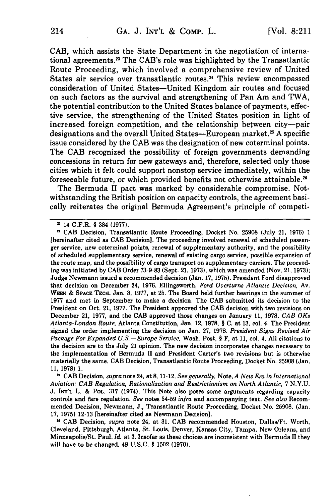CAB, which assists the State Department in the negotiation of international agreements.<sup>23</sup> The CAB's role was highlighted by the Transatlantic Route Proceeding, which involved a comprehensive review of United States air service over transatlantic routes.<sup>24</sup> This review encompassed consideration of United States-United Kingdom air routes and focused on such factors as the survival and strengthening of Pan Am and TWA, the potential contribution to the United States balance of payments, effective service, the strengthening of the United States position in light of increased foreign competition, and the relationship between city-pair designations and the overall United States—European market.<sup>25</sup> A specific issue considered by the CAB was the designation of new coterminal points. The CAB recognized the possibility of foreign governments demanding concessions in return for new gateways and, therefore, selected only those cities which it felt could support nonstop service immediately, within the foreseeable future, or which provided benefits not otherwise attainable."

The Bermuda II pact was marked by considerable compromise. Notwithstanding the British position on capacity controls, the agreement basically reiterates the original Bermuda Agreement's principle of competi-

**1 CAB** Decision, *supra* note 24, at **8,** 11-12. *See generally,* Note, *A New Era in International Aviation: CAB Regulation, Rationalization and Restrictionism on North Atlantic,* **7 N.Y.U. J. INT'L** L. **& POL. 317** (1974). This Note also poses some arguments regarding capacity controls and fare regulation. *See* notes 54-59 *infra* and accompanying text. *See also* Recommended Decision, Newmann, **J.,** Transatlantic Route Proceeding, Docket No. **25908.** (Jan. **17, 1975) 12-13** [hereinafter cited as Newmann Decision].

n **CAB** Decision, *supra* note 24, at **31. CAB** recommended Houston, Dallas/Ft. Worth, Cleveland, Pittsburgh, Atlanta, St. Louis, Denver, Kansas City, Tampa, New Orleans, and Minneapolis/St. Paul. *Id.* at **3.** Insofar as these choices are inconsistent with Bermuda **II** they will have to be changed. 49 **U.S.C.** § **1502 (1970).**

**<sup>&</sup>quot;** 14 C.F.R. § 384 **(1977).**

u **CAB** Decision, Transatlantic Route Proceeding, Docket No. **25908** (July 21, **1976) 1** [hereinafter cited as **CAB** Decision]. The proceeding involved renewal of scheduled passenger service, new coterminal points, renewal of supplementary authority, and the possibility of scheduled supplementary service, renewal of existing cargo service, possible expansion of the route map, and the possibility of cargo transport on supplementary carriers. The proceeding was initiated **by CAB** Order **73-9-83** (Sept. 21, **1973),** which was amended (Nov. 21, **1973);** Judge Newmann issued a recommended decision (Jan. **17, 1975).** President Ford disapproved that decision on December 24, **1976.** Ellingsworth, *Ford Overturns Atlantic Decision,* Av. WEEK & SPACE TECH. Jan. 3, 1977, at 25. The Board held further hearings in the summer of **1977** and met in September to make a decision. The **CAB** submitted its decision to the President on Oct. 21, **1977.** The President approved the **CAB** decision with two revisions on December 21, **1977,** and the **CAB** approved those changes on January **11, 1978.** *CAB OKs Atlanta-London Route,* Atlanta Constitution, Jan. 12, **1978, § C,** at **13,** col. 4. The President signed the order implementing the decision on Jan. **27, 1978.** *President Signs Revised Air Package For Expanded U.S.-Europe Service,* Wash. Post, **§** F, at **11,** col. 4. **All** citations to the decision are to the July 21 opinion. The new decision incorporates changes necessary to the implementation of Bermuda **II** and President Carter's two revisions but is otherwise materially the same. **CAB** Decision, Transatlantic Route Proceeding, Docket No. **25908** (Jan. **11, 1978) 1.**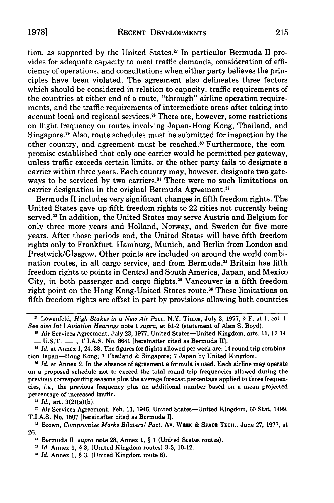tion, as supported by the United States.<sup> $\pi$ </sup> In particular Bermuda II provides for adequate capacity to meet traffic demands, consideration of efficiency of operations, and consultations when either party believes the principles have been violated. The agreement also delineates three factors which should be considered in relation to capacity: traffic requirements of the countries at either end of a route, "through" airline operation requirements, and the traffic requirements of intermediate areas after taking into account local and regional services.<sup>28</sup> There are, however, some restrictions on flight frequency on routes involving Japan-Hong Kong, Thailand, and Singapore. 9 Also, route schedules must be submitted for inspection by the other country, and agreement must be reached.<sup>30</sup> Furthermore, the compromise established that only one carrier would be permitted per gateway, unless traffic exceeds certain limits, or the other party fails to designate a carrier within three years. Each country may, however, designate two gateways to be serviced by two carriers.<sup>31</sup> There were no such limitations on carrier designation in the original Bermuda Agreement.<sup>32</sup>

Bermuda II includes very significant changes in fifth freedom rights. The United States gave up fifth freedom rights to 22 cities not currently being served.3 3 In addition, the United States may serve Austria and Belgium for only three more years and Holland, Norway, and Sweden for five more years. After those periods end, the United States will have fifth freedom rights only to Frankfurt, Hamburg, Munich, and Berlin from London and Prestwick/Glasgow. Other points are included on around the world combination routes, in all-cargo service, and from Bermuda."4 Britain has fifth freedom rights to points in Central and South America, Japan, and Mexico City, in both passenger and cargo flights.<sup>35</sup> Vancouver is a fifth freedom right point on the Hong Kong-United States route.<sup>36</sup> These limitations on fifth freedom rights are offset in part by provisions allowing both countries

*31 Id.,* art. 3(2)(a)(b).

<sup>32</sup> Air Services Agreement, Feb. 11, 1946, United States-United Kingdom, 60 Stat. 1499, T.I.A.S. No. 1507 [hereinafter cited as Bermuda I].

**<sup>3</sup>**Brown, *Compromise Marks Bilateral Pact,* Av. WEEK & SPACE **TECH.,** June 27, 1977, at 26.

*Id.* Annex 1, § 3, (United Kingdom route **6).**

<sup>&</sup>lt;sup>27</sup> Lowenfeld, *High Stakes in a New Air Pact*, N.Y. Times, July 3, 1977, § F, at 1, col. 1. *See also Int'l Aviation Hearings* note 1 *supra,* at 51-2 (statement of Alan S. Boyd).

<sup>&</sup>lt;sup>2</sup> Air Services Agreement, July 23, 1977, United States—United Kingdom, arts. 11, 12-14, - U.S.T. **-** , T.I.A.S. No. 8641 [hereinafter cited as Bermuda **I].**

*<sup>&</sup>quot; Id.* at Annex 1, 24, **38.** The figures for flights allowed per week are: 14 round trip combination Japan-Hong Kong; 7 Thailand & Singapore; 7 Japan by United Kingdom.

*<sup>&</sup>quot; Id.* at Annex 2. In the absence of agreement a formula is used. Each airline may operate on a proposed schedule not to exceed the total round trip frequencies allowed during the previous corresponding seasons plus the average forecast percentage applied to those frequencies, *i.e.,* the previous frequency plus an additional number based on a mean projected percentage of increased traffic.

**<sup>3,</sup>** Bermuda **11,** *supra* note 28, Annex 1, § 1 (United States routes).

*Id.* Annex 1, § 3, (United Kingdom routes) 3-5, 10-12.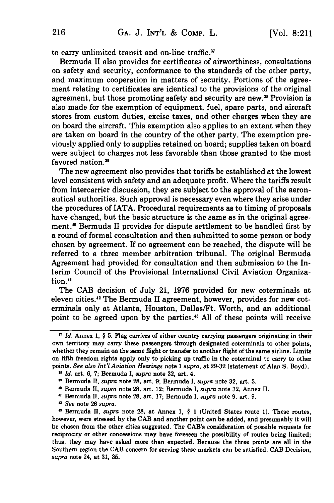to carry unlimited transit and on-line traffic."

Bermuda II also provides for certificates of airworthiness, consultations on safety and security, conformance to the standards of the other party, and maximum cooperation in matters of security. Portions of the agreement relating to certificates are identical to the provisions of the original agreement, but those promoting safety and security are new." Provision is also made for the exemption of equipment, fuel, spare parts, and aircraft stores from custom duties, excise taxes, and other charges when they are on board the aircraft. This exemption also applies to an extent when they are taken on board in the country of the other party. The exemption previously applied only to supplies retained on board; supplies taken on board were subject to charges not less favorable than those granted to the most favored nation.39

The new agreement also provides that tariffs be established at the lowest level consistent with safety and an adequate profit. Where the tariffs result from intercarrier discussion, they are subject to the approval of the aeronautical authorities. Such approval is necessary even where they arise under the procedures of IATA. Procedural requirements as to timing of proposals have changed, but the basic structure is the same as in the original agreement.<sup>40</sup> Bermuda II provides for dispute settlement to be handled first by a round of formal consultation and then submitted to some person or body chosen by agreement. If no agreement can be reached, the dispute will be referred to a three member arbitration tribunal. The original Bermuda Agreement had provided for consultation and then submission to the Interim Council of the Provisional International Civil Aviation Organization.<sup>41</sup>

The CAB decision of July 21, 1976 provided for new coterminals at eleven cities.<sup>42</sup> The Bermuda II agreement, however, provides for new coterminals only at Atlanta, Houston, Dallas/Ft. Worth, and an additional point to be agreed upon by the parties.<sup>43</sup> All of these points will receive

*V Id.* Annex 1, § **5.** Flag carriers of either country carrying passengers originating in their own territory may carry these passengers through designated coterminals to other points, whether they remain on the same flight or transfer to another flight of the same airline. Limits on fifth freedom rights apply only to picking up traffic in the coterminal to carry to other points. *See also Int'l Aviation Hearings* note **1** *supra,* at **29-32** (statement of Alan **S.** Boyd).

*Id.* art. **6, 7;** Bermuda I, *supra* note **32,** art. 4.

**<sup>3&#</sup>x27;** Bermuda **II,** *supra* note **28,** art. **9;** Bermuda **I,** *supra* note **32,** art. **3.**

**<sup>,0</sup>** Bermuda **II,** *supra* note **28,** art. 12; Bermuda **I,** *supra* note **32,** Annex **II.**

**<sup>11</sup>** Bermuda ]I, *supra* note **28,** art. **17;** Bermuda **I,** *supra* note **9,** art. **9.**

**<sup>42</sup>***See* note **26** *supra.*

**<sup>&#</sup>x27;3** Bermuda **II,** *supra* note **28,** at Annex **1, § 1** (United States route **1).** These routes, however, were stressed **by** the **CAB** and another point can be added, and presumably it will be chosen from the other cities suggested. The **CAB's** consideration of possible requests for reciprocity or other concessions may have foreseen the possibility of routes being limited; thus, they may have asked more than expected. Because the three points are all in the Southern region the **CAB** concern for serving these markets can be satisfied. **CAB** Decision, *supra* note 24, at **31, 35.**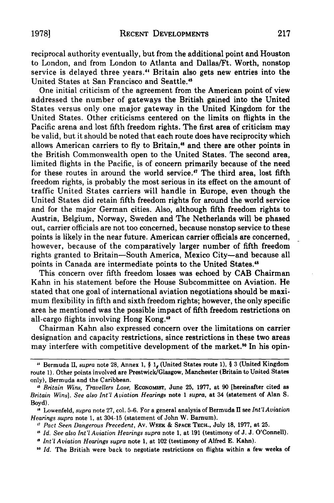reciprocal authority eventually, but from the additional point and Houston to London, and from London to Atlanta and Dallas/Ft. Worth, nonstop service is delayed three years." Britain also gets new entries into the United States at San Francisco and Seattle.<sup>45</sup>

One initial criticism of the agreement from the American point of view addressed the number of gateways the British gained into the United States versus only one major gateway in the United Kingdom for the United States. Other criticisms centered on the limits on flights in the Pacific arena and lost fifth freedom rights. The first area of criticism may be valid, but it should be noted that each route does have reciprocity which allows American carriers to fly to Britain,<sup>46</sup> and there are other points in the British Commonwealth open to the United States. The second area, limited flights in the Pacific, is of concern primarily because of the need for these routes in around the world service.'" The third area, lost fifth freedom rights, is probably the most serious in its effect on the amount of traffic United States carriers will handle in Europe, even though the United States did retain fifth freedom rights for around the world service and for the major German cities. Also, although fifth freedom rights to Austria, Belgium, Norway, Sweden and The Netherlands will be phased out, carrier officials are not too concerned, because nonstop service to these points is likely in the near future. American carrier officials are concerned, however, because of the comparatively larger number of fifth freedom rights granted to Britain-South America, Mexico City-and because all points in Canada are intermediate points to the United States.<sup>48</sup>

This concern over fifth freedom losses was echoed by CAB Chairman Kahn in his statement before the House Subcommittee on Aviation. He stated that one goal of international aviation negotiations should be maximum flexibility in fifth and sixth freedom rights; however, the only specific area he mentioned was the possible impact of fifth freedom restrictions on all-cargo flights involving Hong Kong."

Chairman Kahn also expressed concern over the limitations on carrier designation and capacity restrictions, since restrictions in these two areas may interfere with competitive development of the market.<sup>50</sup> In his opin-

<sup>44</sup> Bermuda **II,** supra note **28,** Annex **1,** § **1,** (United States route **1),** § 3 (United Kingdom route **1).** Other points involved are Prestwick/Glasgow, Manchester (Britain to United States only), Bermuda and the Caribbean.

**<sup>,1</sup>** *Britain Wins, Travellers Lose,* **ECONOMIST,** June **25, 1977,** at **90** [hereinafter cited as *Britain Wins]. See also Int'l Aviation Hearings* note **1** *supra,* at 34 (statement of Alan **S.** Boyd).

**<sup>U</sup>**Lowenfeld, *supra* note **27,** col. **5-6.** For a general analysis of Bermuda **II** see *Int'l Aviation Hearings supra* note **1,** at 304-15 (statement of John W. Barnum).

**<sup>,7</sup>** *Pact Seen Dangerous Precedent,* Av. WEEK **& SPACE TECH., July 18, 1977,** at **25.**

**<sup>,5</sup>** *Id. See also Int'l Aviation Hearings supra* note **1,** at **191** (testimony of **J. J.** O'Connell).

*Int'l Aviation Hearings supra* note **1,** at 102 (testimony of Alfred **E.** Kahn).

**<sup>10</sup>** *Id.* The British were back to negotiate restrictions on flights within a few weeks of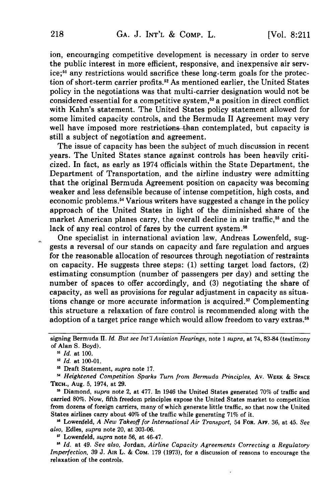ion, encouraging competitive development is necessary in order to serve the public interest in more efficient, responsive, and inexpensive air service;<sup>51</sup> any restrictions would sacrifice these long-term goals for the protection of short-term carrier profits.52 As mentioned earlier, the United States policy in the negotiations was that multi-carrier designation would not be considered essential for a competitive system,<sup>53</sup> a position in direct conflict with Kahn's statement. The United States policy statement allowed for some limited capacity controls, and the Bermuda II Agreement may very well have imposed more restrictions than contemplated, but capacity is still a subject of negotiation and agreement.

The issue of capacity has been the subject of much discussion in recent years. The United States stance against controls has been heavily criticized. In fact, as early as 1974 officials within the State Department, the Department of Transportation, and the airline industry were admitting that the original Bermuda Agreement position on capacity was becoming weaker and less defensible because of intense competition, high costs, and economic problems.54 Various writers have suggested a change in the policy approach of the United States in light of the diminished share of the market American planes carry, the overall decline in air traffic,<sup>55</sup> and the lack of any real control of fares by the current system.<sup>56</sup>

One specialist in international aviation law, Andreas Lowenfeld, suggests a reversal of our stands on capacity and fare regulation and argues for the reasonable allocation of resources through negotiation of restraints on capacity. He suggests three steps: (1) setting target load factors, (2) estimating consumption (number of passengers per day) and setting the number of spaces to offer accordingly, and (3) negotiating the share of capacity, as well as provisions for regular adjustment in capacity as situations change or more accurate information is acquired.<sup>57</sup> Complementing this structure a relaxation of fare control is recommended along with the adoption of a target price range which would allow freedom to vary extras.<sup>58</sup>

Draft Statement, *supra* note 17.

*Heightened Competition Sparks Turn from Bermuda Principles,* Av. WEEK & **SPACE TECH.,** Aug. 5, 1974, at 29.

**u** Diamond, *supra* note 2, at 477. In 1946 the United States generated 70% of traffic and carried 80%. Now, fifth freedom principles expose the United States market to competition from dozens of foreign carriers, many of which generate little traffic, so that now the United States airlines carry about 40% of the traffic while generating 71% of it.

**16** Lowenfeld, *A New Takeoff for International Air Transport,* 54 FOR. **AFF.** 36, at 45. *See also,* Edles, *supra* note 20, at 303-06.

Lowenfeld, *supra* note 56, at 46-47.

*Id.* at 49. *See also,* Jordan, *Airline Capacity Agreements Correcting a Regulatory Imperfection,* 39 J. **AIR** L. & COM. 179 (1973), for a discussion of reasons to encourage the relaxation of the controls.

signing Bermuda H. *Id. But see Int'lAviation Hearings,* note 1 *supra,* at 74, 83-84 (testimony of Alan S. Boyd).

*<sup>5&#</sup>x27; Id.* at 100.

**<sup>52</sup>***Id.* at 100-01.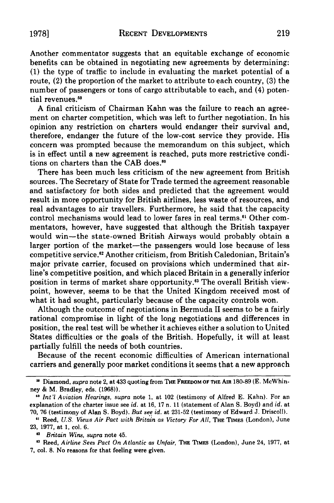Another commentator suggests that an equitable exchange of economic benefits can be obtained in negotiating new agreements by determining: (1) the type of traffic to include in evaluating the market potential of a route, (2) the proportion of the market to attribute to each country, (3) the number of passengers or tons of cargo attributable to each, and (4) potential revenues.<sup>59</sup>

A final criticism of Chairman Kahn was the failure to reach an agreement on charter competition, which was left to further negotiation. In his opinion any restriction on charters would endanger their survival and, therefore, endanger the future of the low-cost service they provide. His concern was prompted because the memorandum on this subject, which is in effect until a new agreement is reached, puts more restrictive conditions on charters than the CAB does.<sup>60</sup>

There has been much less criticism of the new agreement from British sources. The Secretary of State for Trade termed the agreement reasonable and satisfactory for both sides and predicted that the agreement would result in more opportunity for British airlines, less waste of resources, and real advantages to air travellers. Furthermore, he said that the capacity control mechanisms would lead to lower fares in real terms.<sup>61</sup> Other commentators, however, have suggested that although the British taxpayer would win-the state-owned British Airways would probably obtain a larger portion of the market--the passengers would lose because of less competitive service."2 Another criticism, from British Caledonian, Britain's major private carrier, focused on provisions which undermined that airline's competitive position, and which placed Britain in a generally inferior position in terms of market share opportunity.<sup>63</sup> The overall British viewpoint, however, seems to be that the United Kingdom received most of what it had sought, particularly because of the capacity controls won.

Although the outcome of negotiations in Bermuda II seems to be a fairly rational compromise in light of the long negotiations and differences in position, the real test will be whether it achieves either a solution to United States difficulties or the goals of the British. Hopefully, it will at least partially fulfill the needs of both countries.

Because of the recent economic difficulties of American international carriers and generally poor market conditions it seems that a new approach

**<sup>&</sup>quot;** Diamond, supra note 2, at 433 quoting from THE FREEDOM **OF THE AIR** 180-89 (E. McWhinney **&** M. Bradley, eds. **(1968)).**

**<sup>&</sup>quot;** *Int'l Aviation Hearings, supra* note **1,** at 102 (testimony of Alfred **E.** Kahn). For an explanation of the charter issue see *id.* at **16, 17** n. **11** (statement of Alan **S.** Boyd) and *id.* at **70, 76** (testimony of Alan **S.** Boyd). *But see id.* at **231-52** (testimony of Edward **J.** Driscoll).

**<sup>&</sup>quot;** Reed, *U.S. Views Air Pact with Britain as Victory For All,* **THE TIMES** (London), June **23, 1977,** at **1,** col. **6.**

*<sup>&</sup>quot; Britain Wins, supra* note 45.

**<sup>&#</sup>x27;3** Reed, *Airline Sees Pact On Atlantic as Unfair,* **THE TIMES** (London), June 24, **1977,** at **7,** col. **8.** No reasons for that feeling were given.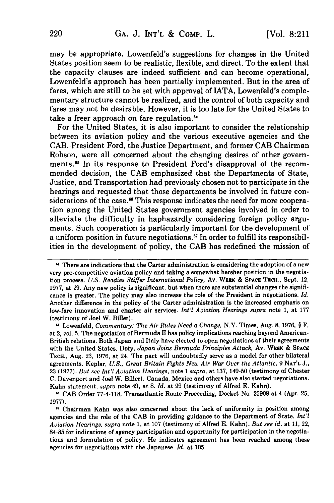may be appropriate. Lowenfeld's suggestions for changes in the United States position seem to be realistic, flexible, and direct. To the extent that the capacity clauses are indeed sufficient and can become operational, Lowenfeld's approach has been partially implemented. But in the area of fares, which are still to be set with approval of IATA, Lowenfeld's complementary structure cannot be realized, and the control of both capacity and fares may not be desirable. However, it is too late for the United States to take a freer approach on fare regulation.<sup>64</sup>

For the United States, it is also important to consider the relationship between its aviation policy and the various executive agencies and the CAB. President Ford, the Justice Department, and former CAB Chairman Robson, were all concerned about the changing desires of other governments.'5 In its response to President Ford's disapproval of the recommended decision, the CAB emphasized that the Departments of State, Justice, and Transportation had previously chosen not to participate in the hearings and requested that those departments be involved in future considerations of the case.<sup>66</sup> This response indicates the need for more cooperation among the United States government agencies involved in order to alleviate the difficulty in haphazardly considering foreign policy arguments. Such cooperation is particularly important for the development of a uniform position in future negotiations." In order to fulfill its responsibilities in the development of policy, the **CAB** has redefined the mission of

**<sup>&</sup>quot;** There are indications that the Carter administration is considering the adoption of a new very pro-competitive aviation policy and taking a somewhat harsher position in the negotiation process. *U.S. Readies Stiffer International Policy,* **Av. WEEK & SPACE TECH.,** Sept. 12, **1977,** at **29.** Any new policy is significant, but when there are substantial changes the significance is greater. The policy may also increase the role of the President in negotiations. *Id.* Another difference in the policy of the Carter administration is the increased emphasis on low-fare innovation and charter air services. *Int'l Aviation Hearings supra* note **1,** at **177** (testimony of Joel W. Biller).

Lowenfeld, *Commentary: The Air Rules Need a Change,* N.Y. Times, Aug. **8, 1976, § F,** at 2, col. **5.** The negotiation of Bermuda **II** has policy implications reaching beyond American-British relations. Both Japan and Italy have elected to open negotiations of their agreements with the United States. Doty, *Japan Joins Bermuda Principles Attack,* **Av. WEEK & SPACE TECH.,** Aug. **23, 1976,** at 24. The pact will undoubtedly serve as a model for other bilateral agreements. Keplar, *U.S., Great Britain Fights New Air War Over the Atlantic,* **9 NAT'L J., 23 (1977).** *But see Int'l Aviation Hearings,* note **1** *supra,* at **137,** 149-50 (testimony of Chester **C.** Davenport and Joel W. Biller). Canada, Mexico and others have also started negotiations. Kahn statement, *supra* note 49, at **8.** *Id.* at **99** (testimony of Alfred **E.** Kahn).

**<sup>&</sup>quot; CAB** Order **77-4-118,** Transatlantic Route Proceeding, Docket No, **25908** at 4 (Apr. **25, 1977).**

**<sup>&</sup>quot;** Chairman Kahn was also concerned about the lack of uniformity in position among agencies and the role of the **CAB** in providing guidance to the Department of State. *Int'l Aviation Hearings, supra* note **1,** at **107** (testimony of Alfred **E.** Kahn). *But see id.* at **11,** 22, **84-85** for indications of agency participation and opportunity for participation in the negotiations and formulation of policy. He indicates agreement has been reached among these agencies for negotiations with the Japanese. *Id.* at **105.**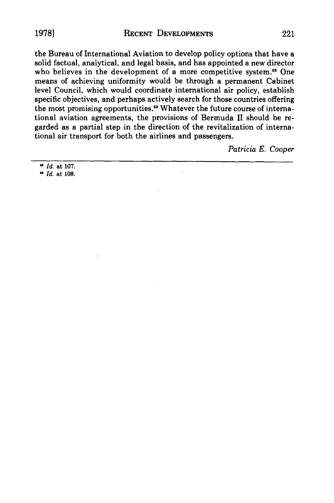1978] RECENT **DEVELOPMENTS** 221

the Bureau of International Aviation to develop policy options that have a solid factual, analytical, and legal basis, and has appointed a new director who believes in the development of a more competitive system.<sup>68</sup> One means of achieving uniformity would be through a permanent Cabinet level Council, which would coordinate international air policy, establish specific objectives, and perhaps actively search for those countries offering the most promising opportunities.<sup>69</sup> Whatever the future course of international aviation agreements, the provisions of Bermuda II should be regarded as a partial step in the direction of the revitalization of international air transport for both the airlines and passengers.

*Patricia E. Cooper*

*Id.* at 107.

*"* Id. at 108.